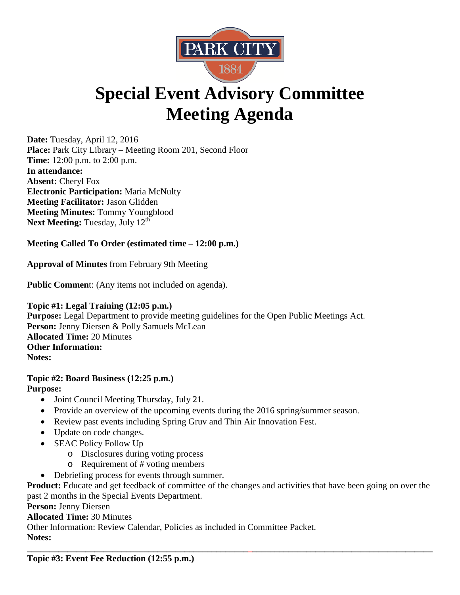

## **Special Event Advisory Committee Meeting Agenda**

**Date:** Tuesday, April 12, 2016 **Place:** Park City Library – Meeting Room 201, Second Floor **Time:** 12:00 p.m. to 2:00 p.m. **In attendance: Absent:** Cheryl Fox **Electronic Participation:** Maria McNulty **Meeting Facilitator:** Jason Glidden **Meeting Minutes:** Tommy Youngblood Next Meeting: Tuesday, July 12<sup>th</sup>

## **Meeting Called To Order (estimated time – 12:00 p.m.)**

**Approval of Minutes** from February 9th Meeting

**Public Commen**t: (Any items not included on agenda).

**Topic #1: Legal Training (12:05 p.m.) Purpose:** Legal Department to provide meeting guidelines for the Open Public Meetings Act. Person: Jenny Diersen & Polly Samuels McLean **Allocated Time:** 20 Minutes **Other Information: Notes:** 

## **Topic #2: Board Business (12:25 p.m.) Purpose:**

- Joint Council Meeting Thursday, July 21.
- Provide an overview of the upcoming events during the 2016 spring/summer season.
- Review past events including Spring Gruv and Thin Air Innovation Fest.
- Update on code changes.
- SEAC Policy Follow Up
	- o Disclosures during voting process
	- o Requirement of # voting members
- Debriefing process for events through summer.

**Product:** Educate and get feedback of committee of the changes and activities that have been going on over the past 2 months in the Special Events Department.

**Person:** Jenny Diersen

**Allocated Time:** 30 Minutes

Other Information: Review Calendar, Policies as included in Committee Packet.

**Notes:** 

**\_\_\_\_\_\_\_\_\_\_\_\_\_\_\_\_\_\_\_\_\_\_\_\_\_\_\_\_\_\_\_\_\_\_\_\_\_\_\_\_\_\_\_\_\_\_\_\_\_\_\_\_\_\_\_\_\_\_\_\_\_\_\_\_\_\_\_\_\_\_\_\_\_\_\_\_\_\_\_\_\_\_\_\_\_\_\_\_\_\_ Topic #3: Event Fee Reduction (12:55 p.m.)**